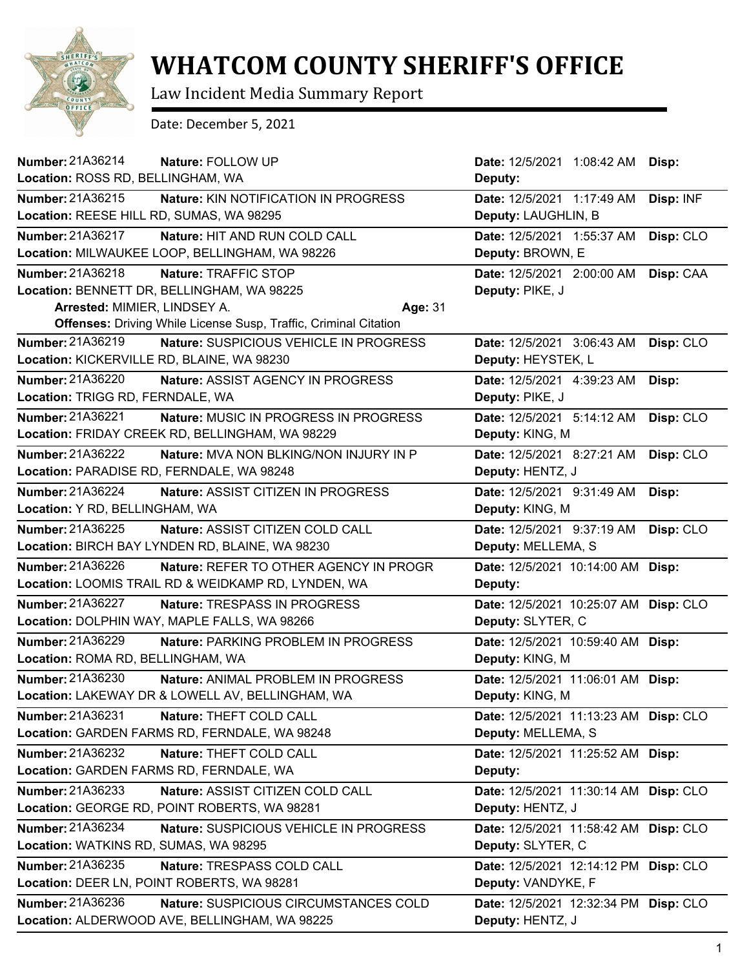

## **WHATCOM COUNTY SHERIFF'S OFFICE**

Law Incident Media Summary Report

Date: December 5, 2021

| <b>Number: 21A36214</b><br>Nature: FOLLOW UP                            | Date: 12/5/2021 1:08:42 AM Disp:      |           |
|-------------------------------------------------------------------------|---------------------------------------|-----------|
| Location: ROSS RD, BELLINGHAM, WA                                       | Deputy:                               |           |
| Number: 21A36215<br>Nature: KIN NOTIFICATION IN PROGRESS                | Date: 12/5/2021 1:17:49 AM            | Disp: INF |
| Location: REESE HILL RD, SUMAS, WA 98295                                | Deputy: LAUGHLIN, B                   |           |
| Number: 21A36217<br>Nature: HIT AND RUN COLD CALL                       | Date: 12/5/2021 1:55:37 AM            | Disp: CLO |
| Location: MILWAUKEE LOOP, BELLINGHAM, WA 98226                          | Deputy: BROWN, E                      |           |
| Number: 21A36218<br>Nature: TRAFFIC STOP                                | Date: 12/5/2021 2:00:00 AM            | Disp: CAA |
| Location: BENNETT DR, BELLINGHAM, WA 98225                              | Deputy: PIKE, J                       |           |
| Arrested: MIMIER, LINDSEY A.<br>Age: 31                                 |                                       |           |
| <b>Offenses:</b> Driving While License Susp, Traffic, Criminal Citation |                                       |           |
| Number: 21A36219<br>Nature: SUSPICIOUS VEHICLE IN PROGRESS              | Date: 12/5/2021 3:06:43 AM            | Disp: CLO |
| Location: KICKERVILLE RD, BLAINE, WA 98230                              | Deputy: HEYSTEK, L                    |           |
| Number: 21A36220<br>Nature: ASSIST AGENCY IN PROGRESS                   | Date: 12/5/2021 4:39:23 AM            | Disp:     |
| Location: TRIGG RD, FERNDALE, WA                                        | Deputy: PIKE, J                       |           |
| Number: 21A36221<br>Nature: MUSIC IN PROGRESS IN PROGRESS               | Date: 12/5/2021 5:14:12 AM            | Disp: CLO |
| Location: FRIDAY CREEK RD, BELLINGHAM, WA 98229                         | Deputy: KING, M                       |           |
| Number: 21A36222<br><b>Nature: MVA NON BLKING/NON INJURY IN P</b>       | Date: 12/5/2021 8:27:21 AM            | Disp: CLO |
| Location: PARADISE RD, FERNDALE, WA 98248                               | Deputy: HENTZ, J                      |           |
| Number: 21A36224<br>Nature: ASSIST CITIZEN IN PROGRESS                  | Date: 12/5/2021 9:31:49 AM            | Disp:     |
| Location: Y RD, BELLINGHAM, WA                                          | Deputy: KING, M                       |           |
| Number: 21A36225<br>Nature: ASSIST CITIZEN COLD CALL                    | Date: 12/5/2021 9:37:19 AM            | Disp: CLO |
| Location: BIRCH BAY LYNDEN RD, BLAINE, WA 98230                         | Deputy: MELLEMA, S                    |           |
| Number: 21A36226<br>Nature: REFER TO OTHER AGENCY IN PROGR              | Date: 12/5/2021 10:14:00 AM Disp:     |           |
| Location: LOOMIS TRAIL RD & WEIDKAMP RD, LYNDEN, WA                     | Deputy:                               |           |
| Number: 21A36227<br><b>Nature: TRESPASS IN PROGRESS</b>                 | Date: 12/5/2021 10:25:07 AM Disp: CLO |           |
| Location: DOLPHIN WAY, MAPLE FALLS, WA 98266                            | Deputy: SLYTER, C                     |           |
| Number: 21A36229<br>Nature: PARKING PROBLEM IN PROGRESS                 | Date: 12/5/2021 10:59:40 AM Disp:     |           |
| Location: ROMA RD, BELLINGHAM, WA                                       | Deputy: KING, M                       |           |
| Number: 21A36230<br>Nature: ANIMAL PROBLEM IN PROGRESS                  | Date: 12/5/2021 11:06:01 AM Disp:     |           |
| Location: LAKEWAY DR & LOWELL AV, BELLINGHAM, WA                        | Deputy: KING, M                       |           |
| Number: 21A36231<br>Nature: THEFT COLD CALL                             | Date: 12/5/2021 11:13:23 AM Disp: CLO |           |
| Location: GARDEN FARMS RD, FERNDALE, WA 98248                           | Deputy: MELLEMA, S                    |           |
| Number: 21A36232<br>Nature: THEFT COLD CALL                             | Date: 12/5/2021 11:25:52 AM Disp:     |           |
| Location: GARDEN FARMS RD, FERNDALE, WA                                 | Deputy:                               |           |
| Number: 21A36233<br>Nature: ASSIST CITIZEN COLD CALL                    | Date: 12/5/2021 11:30:14 AM Disp: CLO |           |
| Location: GEORGE RD, POINT ROBERTS, WA 98281                            | Deputy: HENTZ, J                      |           |
| Number: 21A36234<br>Nature: SUSPICIOUS VEHICLE IN PROGRESS              | Date: 12/5/2021 11:58:42 AM Disp: CLO |           |
| Location: WATKINS RD, SUMAS, WA 98295                                   | Deputy: SLYTER, C                     |           |
| Number: 21A36235<br>Nature: TRESPASS COLD CALL                          | Date: 12/5/2021 12:14:12 PM Disp: CLO |           |
| Location: DEER LN, POINT ROBERTS, WA 98281                              | Deputy: VANDYKE, F                    |           |
| Number: 21A36236<br>Nature: SUSPICIOUS CIRCUMSTANCES COLD               | Date: 12/5/2021 12:32:34 PM Disp: CLO |           |
| Location: ALDERWOOD AVE, BELLINGHAM, WA 98225                           | Deputy: HENTZ, J                      |           |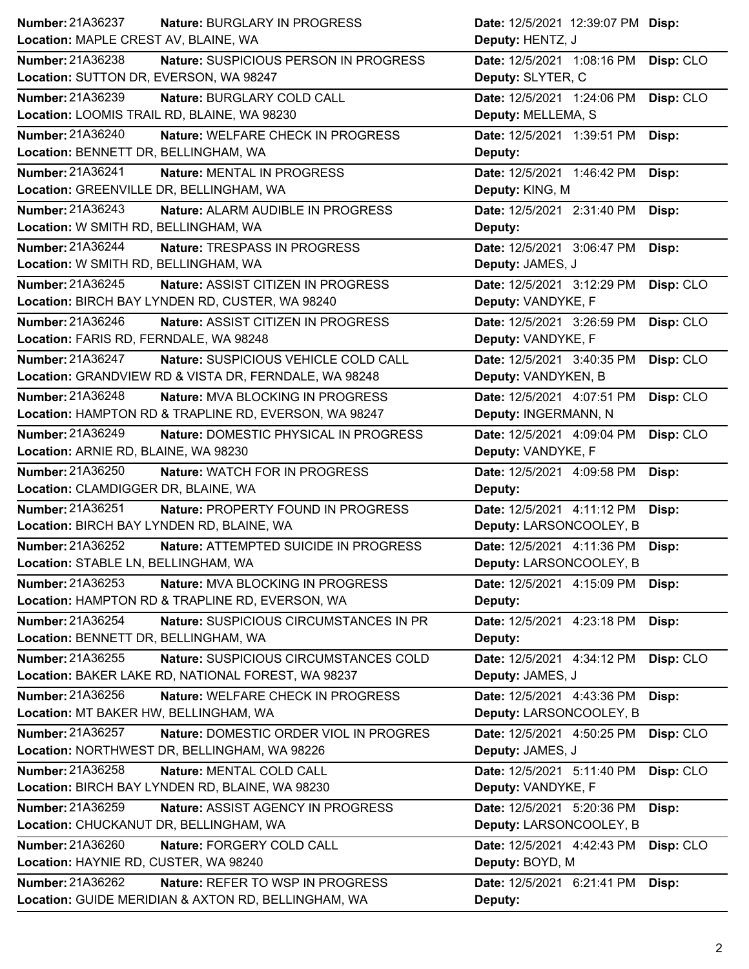|                                                                    | Date: 12/5/2021 12:39:07 PM Disp:       |
|--------------------------------------------------------------------|-----------------------------------------|
| Location: MAPLE CREST AV, BLAINE, WA                               | Deputy: HENTZ, J                        |
| Number: 21A36238<br>Nature: SUSPICIOUS PERSON IN PROGRESS          | Date: 12/5/2021 1:08:16 PM<br>Disp: CLO |
| Location: SUTTON DR, EVERSON, WA 98247                             | Deputy: SLYTER, C                       |
| Number: 21A36239<br>Nature: BURGLARY COLD CALL                     | Date: 12/5/2021 1:24:06 PM<br>Disp: CLO |
| Location: LOOMIS TRAIL RD, BLAINE, WA 98230                        | Deputy: MELLEMA, S                      |
| Number: 21A36240<br>Nature: WELFARE CHECK IN PROGRESS              | Date: 12/5/2021 1:39:51 PM<br>Disp:     |
| Location: BENNETT DR, BELLINGHAM, WA                               | Deputy:                                 |
| Number: 21A36241<br><b>Nature: MENTAL IN PROGRESS</b>              | Date: 12/5/2021 1:46:42 PM<br>Disp:     |
| Location: GREENVILLE DR, BELLINGHAM, WA                            | Deputy: KING, M                         |
| Number: 21A36243<br>Nature: ALARM AUDIBLE IN PROGRESS              | Date: 12/5/2021 2:31:40 PM<br>Disp:     |
| Location: W SMITH RD, BELLINGHAM, WA                               | Deputy:                                 |
| <b>Number: 21A36244</b><br><b>Nature: TRESPASS IN PROGRESS</b>     | Date: 12/5/2021 3:06:47 PM<br>Disp:     |
| Location: W SMITH RD, BELLINGHAM, WA                               | Deputy: JAMES, J                        |
| Number: 21A36245<br>Nature: ASSIST CITIZEN IN PROGRESS             | Date: 12/5/2021 3:12:29 PM<br>Disp: CLO |
| Location: BIRCH BAY LYNDEN RD, CUSTER, WA 98240                    | Deputy: VANDYKE, F                      |
| Number: 21A36246<br>Nature: ASSIST CITIZEN IN PROGRESS             | Date: 12/5/2021 3:26:59 PM<br>Disp: CLO |
| Location: FARIS RD, FERNDALE, WA 98248                             | Deputy: VANDYKE, F                      |
| Number: 21A36247<br>Nature: SUSPICIOUS VEHICLE COLD CALL           | Date: 12/5/2021 3:40:35 PM<br>Disp: CLO |
| Location: GRANDVIEW RD & VISTA DR, FERNDALE, WA 98248              | Deputy: VANDYKEN, B                     |
| <b>Number: 21A36248</b><br><b>Nature: MVA BLOCKING IN PROGRESS</b> | Date: 12/5/2021 4:07:51 PM<br>Disp: CLO |
| Location: HAMPTON RD & TRAPLINE RD, EVERSON, WA 98247              | Deputy: INGERMANN, N                    |
| Number: 21A36249<br>Nature: DOMESTIC PHYSICAL IN PROGRESS          | Date: 12/5/2021 4:09:04 PM<br>Disp: CLO |
| Location: ARNIE RD, BLAINE, WA 98230                               | Deputy: VANDYKE, F                      |
| Number: 21A36250<br>Nature: WATCH FOR IN PROGRESS                  | Date: 12/5/2021 4:09:58 PM<br>Disp:     |
| Location: CLAMDIGGER DR, BLAINE, WA                                | Deputy:                                 |
| Number: 21A36251<br>Nature: PROPERTY FOUND IN PROGRESS             | Date: 12/5/2021  4:11:12 PM  Disp:      |
| Location: BIRCH BAY LYNDEN RD, BLAINE, WA                          | Deputy: LARSONCOOLEY, B                 |
| Number: 21A36252<br>Nature: ATTEMPTED SUICIDE IN PROGRESS          | Date: 12/5/2021  4:11:36 PM  Disp:      |
|                                                                    |                                         |
| Location: STABLE LN, BELLINGHAM, WA                                | Deputy: LARSONCOOLEY, B                 |
| Number: 21A36253<br>Nature: MVA BLOCKING IN PROGRESS               | Date: 12/5/2021 4:15:09 PM<br>Disp:     |
| Location: HAMPTON RD & TRAPLINE RD, EVERSON, WA                    | Deputy:                                 |
| Number: 21A36254<br>Nature: SUSPICIOUS CIRCUMSTANCES IN PR         | Date: 12/5/2021 4:23:18 PM<br>Disp:     |
| Location: BENNETT DR, BELLINGHAM, WA                               | Deputy:                                 |
| Number: 21A36255<br>Nature: SUSPICIOUS CIRCUMSTANCES COLD          | Date: 12/5/2021 4:34:12 PM<br>Disp: CLO |
| Location: BAKER LAKE RD, NATIONAL FOREST, WA 98237                 | Deputy: JAMES, J                        |
| Number: 21A36256<br>Nature: WELFARE CHECK IN PROGRESS              | Date: 12/5/2021 4:43:36 PM<br>Disp:     |
| Location: MT BAKER HW, BELLINGHAM, WA                              | Deputy: LARSONCOOLEY, B                 |
| Number: 21A36257<br>Nature: DOMESTIC ORDER VIOL IN PROGRES         | Date: 12/5/2021 4:50:25 PM<br>Disp: CLO |
| Location: NORTHWEST DR, BELLINGHAM, WA 98226                       | Deputy: JAMES, J                        |
| Number: 21A36258<br>Nature: MENTAL COLD CALL                       | Disp: CLO<br>Date: 12/5/2021 5:11:40 PM |
| Location: BIRCH BAY LYNDEN RD, BLAINE, WA 98230                    | Deputy: VANDYKE, F                      |
| Number: 21A36259<br>Nature: ASSIST AGENCY IN PROGRESS              | Date: 12/5/2021 5:20:36 PM<br>Disp:     |
| Location: CHUCKANUT DR, BELLINGHAM, WA                             | Deputy: LARSONCOOLEY, B                 |
| Number: 21A36260<br>Nature: FORGERY COLD CALL                      | Date: 12/5/2021 4:42:43 PM              |
| Location: HAYNIE RD, CUSTER, WA 98240                              | Disp: CLO<br>Deputy: BOYD, M            |
| Number: 21A36262<br>Nature: REFER TO WSP IN PROGRESS               | Date: 12/5/2021 6:21:41 PM<br>Disp:     |